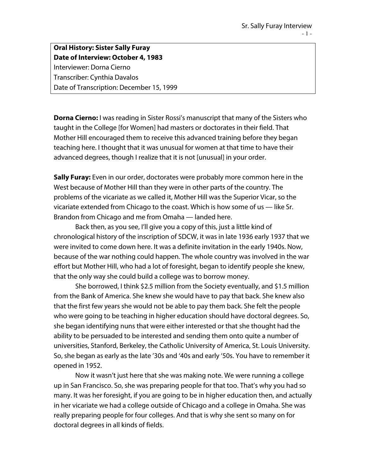## **Oral History: Sister Sally Furay Date of Interview: October 4, 1983** Interviewer: Dorna Cierno Transcriber: Cynthia Davalos

Date of Transcription: December 15, 1999

**Dorna Cierno:** I was reading in Sister Rossi's manuscript that many of the Sisters who taught in the College [for Women] had masters or doctorates in their field. That Mother Hill encouraged them to receive this advanced training before they began teaching here. I thought that it was unusual for women at that time to have their advanced degrees, though I realize that it is not [unusual] in your order.

**Sally Furay:** Even in our order, doctorates were probably more common here in the West because of Mother Hill than they were in other parts of the country. The problems of the vicariate as we called it, Mother Hill was the Superior Vicar, so the vicariate extended from Chicago to the coast. Which is how some of us — like Sr. Brandon from Chicago and me from Omaha — landed here.

Back then, as you see, I'll give you a copy of this, just a little kind of chronological history of the inscription of SDCW, it was in late 1936 early 1937 that we were invited to come down here. It was a definite invitation in the early 1940s. Now, because of the war nothing could happen. The whole country was involved in the war effort but Mother Hill, who had a lot of foresight, began to identify people she knew, that the only way she could build a college was to borrow money.

She borrowed, I think \$2.5 million from the Society eventually, and \$1.5 million from the Bank of America. She knew she would have to pay that back. She knew also that the first few years she would not be able to pay them back. She felt the people who were going to be teaching in higher education should have doctoral degrees. So, she began identifying nuns that were either interested or that she thought had the ability to be persuaded to be interested and sending them onto quite a number of universities, Stanford, Berkeley, the Catholic University of America, St. Louis University. So, she began as early as the late '30s and '40s and early '50s. You have to remember it opened in 1952.

Now it wasn't just here that she was making note. We were running a college up in San Francisco. So, she was preparing people for that too. That's why you had so many. It was her foresight, if you are going to be in higher education then, and actually in her vicariate we had a college outside of Chicago and a college in Omaha. She was really preparing people for four colleges. And that is why she sent so many on for doctoral degrees in all kinds of fields.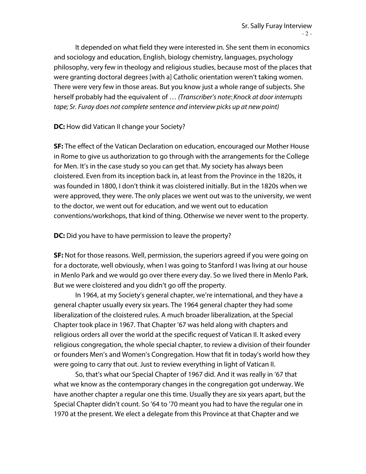It depended on what field they were interested in. She sent them in economics and sociology and education, English, biology chemistry, languages, psychology philosophy, very few in theology and religious studies, because most of the places that were granting doctoral degrees [with a] Catholic orientation weren't taking women. There were very few in those areas. But you know just a whole range of subjects. She herself probably had the equivalent of … *(Transcriber's note: Knock at door interrupts tape; Sr. Furay does not complete sentence and interview picks up at new point)*

**DC:** How did Vatican II change your Society?

**SF:** The effect of the Vatican Declaration on education, encouraged our Mother House in Rome to give us authorization to go through with the arrangements for the College for Men. It's in the case study so you can get that. My society has always been cloistered. Even from its inception back in, at least from the Province in the 1820s, it was founded in 1800, I don't think it was cloistered initially. But in the 1820s when we were approved, they were. The only places we went out was to the university, we went to the doctor, we went out for education, and we went out to education conventions/workshops, that kind of thing. Otherwise we never went to the property.

**DC:** Did you have to have permission to leave the property?

**SF:** Not for those reasons. Well, permission, the superiors agreed if you were going on for a doctorate, well obviously, when I was going to Stanford I was living at our house in Menlo Park and we would go over there every day. So we lived there in Menlo Park. But we were cloistered and you didn't go off the property.

In 1964, at my Society's general chapter, we're international, and they have a general chapter usually every six years. The 1964 general chapter they had some liberalization of the cloistered rules. A much broader liberalization, at the Special Chapter took place in 1967. That Chapter '67 was held along with chapters and religious orders all over the world at the specific request of Vatican II. It asked every religious congregation, the whole special chapter, to review a division of their founder or founders Men's and Women's Congregation. How that fit in today's world how they were going to carry that out. Just to review everything in light of Vatican II.

So, that's what our Special Chapter of 1967 did. And it was really in '67 that what we know as the contemporary changes in the congregation got underway. We have another chapter a regular one this time. Usually they are six years apart, but the Special Chapter didn't count. So '64 to '70 meant you had to have the regular one in 1970 at the present. We elect a delegate from this Province at that Chapter and we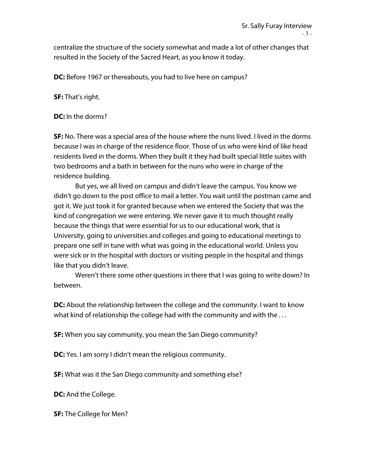centralize the structure of the society somewhat and made a lot of other changes that resulted in the Society of the Sacred Heart, as you know it today.

**DC:** Before 1967 or thereabouts, you had to live here on campus?

**SF:** That's right.

**DC:** In the dorms?

**SF:** No. There was a special area of the house where the nuns lived. I lived in the dorms because I was in charge of the residence floor. Those of us who were kind of like head residents lived in the dorms. When they built it they had built special little suites with two bedrooms and a bath in between for the nuns who were in charge of the residence building.

But yes, we all lived on campus and didn't leave the campus. You know we didn't go down to the post office to mail a letter. You wait until the postman came and got it. We just took it for granted because when we entered the Society that was the kind of congregation we were entering. We never gave it to much thought really because the things that were essential for us to our educational work, that is University, going to universities and colleges and going to educational meetings to prepare one self in tune with what was going in the educational world. Unless you were sick or in the hospital with doctors or visiting people in the hospital and things like that you didn't leave.

Weren't there some other questions in there that I was going to write down? In between.

**DC:** About the relationship between the college and the community. I want to know what kind of relationship the college had with the community and with the . . .

**SF:** When you say community, you mean the San Diego community?

**DC:** Yes. I am sorry I didn't mean the religious community.

**SF:** What was it the San Diego community and something else?

**DC:** And the College.

**SF:** The College for Men?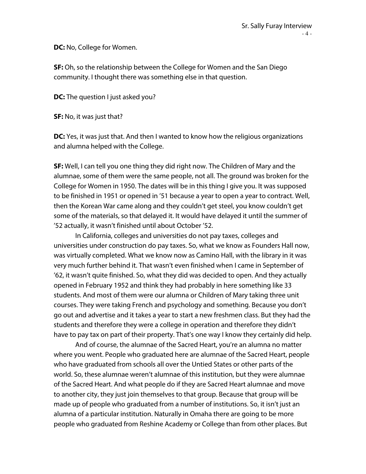**DC:** No, College for Women.

**SF:** Oh, so the relationship between the College for Women and the San Diego community. I thought there was something else in that question.

**DC:** The question I just asked you?

**SF:** No, it was just that?

**DC:** Yes, it was just that. And then I wanted to know how the religious organizations and alumna helped with the College.

**SF:** Well, I can tell you one thing they did right now. The Children of Mary and the alumnae, some of them were the same people, not all. The ground was broken for the College for Women in 1950. The dates will be in this thing I give you. It was supposed to be finished in 1951 or opened in '51 because a year to open a year to contract. Well, then the Korean War came along and they couldn't get steel, you know couldn't get some of the materials, so that delayed it. It would have delayed it until the summer of '52 actually, it wasn't finished until about October '52.

In California, colleges and universities do not pay taxes, colleges and universities under construction do pay taxes. So, what we know as Founders Hall now, was virtually completed. What we know now as Camino Hall, with the library in it was very much further behind it. That wasn't even finished when I came in September of '62, it wasn't quite finished. So, what they did was decided to open. And they actually opened in February 1952 and think they had probably in here something like 33 students. And most of them were our alumna or Children of Mary taking three unit courses. They were taking French and psychology and something. Because you don't go out and advertise and it takes a year to start a new freshmen class. But they had the students and therefore they were a college in operation and therefore they didn't have to pay tax on part of their property. That's one way I know they certainly did help.

And of course, the alumnae of the Sacred Heart, you're an alumna no matter where you went. People who graduated here are alumnae of the Sacred Heart, people who have graduated from schools all over the Untied States or other parts of the world. So, these alumnae weren't alumnae of this institution, but they were alumnae of the Sacred Heart. And what people do if they are Sacred Heart alumnae and move to another city, they just join themselves to that group. Because that group will be made up of people who graduated from a number of institutions. So, it isn't just an alumna of a particular institution. Naturally in Omaha there are going to be more people who graduated from Reshine Academy or College than from other places. But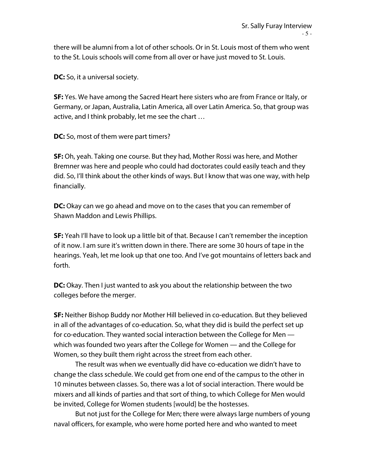there will be alumni from a lot of other schools. Or in St. Louis most of them who went to the St. Louis schools will come from all over or have just moved to St. Louis.

**DC:** So, it a universal society.

**SF:** Yes. We have among the Sacred Heart here sisters who are from France or Italy, or Germany, or Japan, Australia, Latin America, all over Latin America. So, that group was active, and I think probably, let me see the chart …

**DC:** So, most of them were part timers?

**SF:** Oh, yeah. Taking one course. But they had, Mother Rossi was here, and Mother Bremner was here and people who could had doctorates could easily teach and they did. So, I'll think about the other kinds of ways. But I know that was one way, with help financially.

**DC:** Okay can we go ahead and move on to the cases that you can remember of Shawn Maddon and Lewis Phillips.

**SF:** Yeah I'll have to look up a little bit of that. Because I can't remember the inception of it now. I am sure it's written down in there. There are some 30 hours of tape in the hearings. Yeah, let me look up that one too. And I've got mountains of letters back and forth.

**DC:** Okay. Then I just wanted to ask you about the relationship between the two colleges before the merger.

**SF:** Neither Bishop Buddy nor Mother Hill believed in co-education. But they believed in all of the advantages of co-education. So, what they did is build the perfect set up for co-education. They wanted social interaction between the College for Men which was founded two years after the College for Women — and the College for Women, so they built them right across the street from each other.

The result was when we eventually did have co-education we didn't have to change the class schedule. We could get from one end of the campus to the other in 10 minutes between classes. So, there was a lot of social interaction. There would be mixers and all kinds of parties and that sort of thing, to which College for Men would be invited, College for Women students [would] be the hostesses.

But not just for the College for Men; there were always large numbers of young naval officers, for example, who were home ported here and who wanted to meet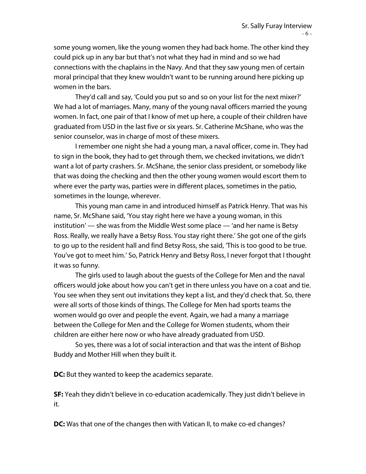some young women, like the young women they had back home. The other kind they could pick up in any bar but that's not what they had in mind and so we had connections with the chaplains in the Navy. And that they saw young men of certain moral principal that they knew wouldn't want to be running around here picking up women in the bars.

They'd call and say, 'Could you put so and so on your list for the next mixer?' We had a lot of marriages. Many, many of the young naval officers married the young women. In fact, one pair of that I know of met up here, a couple of their children have graduated from USD in the last five or six years. Sr. Catherine McShane, who was the senior counselor, was in charge of most of these mixers.

I remember one night she had a young man, a naval officer, come in. They had to sign in the book, they had to get through them, we checked invitations, we didn't want a lot of party crashers. Sr. McShane, the senior class president, or somebody like that was doing the checking and then the other young women would escort them to where ever the party was, parties were in different places, sometimes in the patio, sometimes in the lounge, wherever.

This young man came in and introduced himself as Patrick Henry. That was his name, Sr. McShane said, 'You stay right here we have a young woman, in this institution' — she was from the Middle West some place — 'and her name is Betsy Ross. Really, we really have a Betsy Ross. You stay right there.' She got one of the girls to go up to the resident hall and find Betsy Ross, she said, 'This is too good to be true. You've got to meet him.' So, Patrick Henry and Betsy Ross, I never forgot that I thought it was so funny.

The girls used to laugh about the guests of the College for Men and the naval officers would joke about how you can't get in there unless you have on a coat and tie. You see when they sent out invitations they kept a list, and they'd check that. So, there were all sorts of those kinds of things. The College for Men had sports teams the women would go over and people the event. Again, we had a many a marriage between the College for Men and the College for Women students, whom their children are either here now or who have already graduated from USD.

So yes, there was a lot of social interaction and that was the intent of Bishop Buddy and Mother Hill when they built it.

**DC:** But they wanted to keep the academics separate.

**SF:** Yeah they didn't believe in co-education academically. They just didn't believe in it.

**DC:** Was that one of the changes then with Vatican II, to make co-ed changes?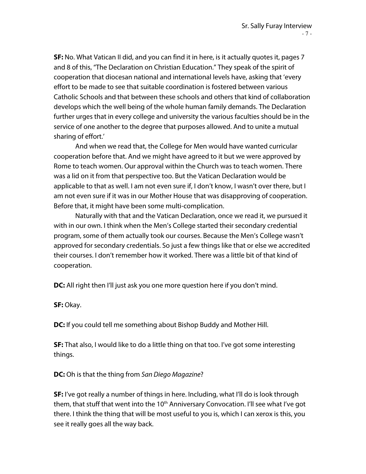**SF:** No. What Vatican II did, and you can find it in here, is it actually quotes it, pages 7 and 8 of this, "The Declaration on Christian Education." They speak of the spirit of cooperation that diocesan national and international levels have, asking that 'every effort to be made to see that suitable coordination is fostered between various Catholic Schools and that between these schools and others that kind of collaboration develops which the well being of the whole human family demands. The Declaration further urges that in every college and university the various faculties should be in the service of one another to the degree that purposes allowed. And to unite a mutual sharing of effort.'

And when we read that, the College for Men would have wanted curricular cooperation before that. And we might have agreed to it but we were approved by Rome to teach women. Our approval within the Church was to teach women. There was a lid on it from that perspective too. But the Vatican Declaration would be applicable to that as well. I am not even sure if, I don't know, I wasn't over there, but I am not even sure if it was in our Mother House that was disapproving of cooperation. Before that, it might have been some multi-complication.

Naturally with that and the Vatican Declaration, once we read it, we pursued it with in our own. I think when the Men's College started their secondary credential program, some of them actually took our courses. Because the Men's College wasn't approved for secondary credentials. So just a few things like that or else we accredited their courses. I don't remember how it worked. There was a little bit of that kind of cooperation.

**DC:** All right then I'll just ask you one more question here if you don't mind.

**SF:** Okay.

**DC:** If you could tell me something about Bishop Buddy and Mother Hill.

**SF:** That also, I would like to do a little thing on that too. I've got some interesting things.

**DC:** Oh is that the thing from *San Diego Magazine*?

**SF:** I've got really a number of things in here. Including, what I'll do is look through them, that stuff that went into the 10<sup>th</sup> Anniversary Convocation. I'll see what I've got there. I think the thing that will be most useful to you is, which I can xerox is this, you see it really goes all the way back.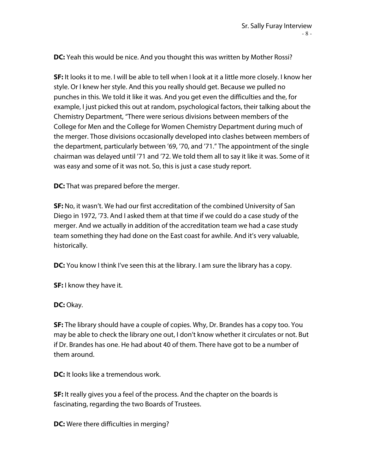**DC:** Yeah this would be nice. And you thought this was written by Mother Rossi?

**SF:** It looks it to me. I will be able to tell when I look at it a little more closely. I know her style. Or I knew her style. And this you really should get. Because we pulled no punches in this. We told it like it was. And you get even the difficulties and the, for example, I just picked this out at random, psychological factors, their talking about the Chemistry Department, "There were serious divisions between members of the College for Men and the College for Women Chemistry Department during much of the merger. Those divisions occasionally developed into clashes between members of the department, particularly between '69, '70, and '71." The appointment of the single chairman was delayed until '71 and '72. We told them all to say it like it was. Some of it was easy and some of it was not. So, this is just a case study report.

**DC:** That was prepared before the merger.

**SF:** No, it wasn't. We had our first accreditation of the combined University of San Diego in 1972, '73. And I asked them at that time if we could do a case study of the merger. And we actually in addition of the accreditation team we had a case study team something they had done on the East coast for awhile. And it's very valuable, historically.

**DC:** You know I think I've seen this at the library. I am sure the library has a copy.

**SF:** I know they have it.

**DC:** Okay.

**SF:** The library should have a couple of copies. Why, Dr. Brandes has a copy too. You may be able to check the library one out, I don't know whether it circulates or not. But if Dr. Brandes has one. He had about 40 of them. There have got to be a number of them around.

**DC:** It looks like a tremendous work.

**SF:** It really gives you a feel of the process. And the chapter on the boards is fascinating, regarding the two Boards of Trustees.

**DC:** Were there difficulties in merging?